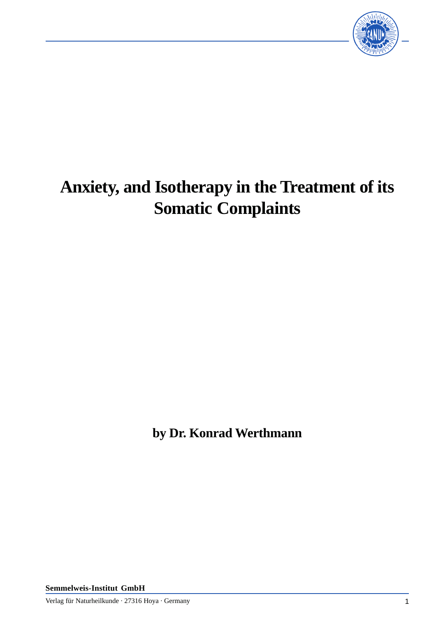

# **Anxiety, and Isotherapy in the Treatment of its Somatic Complaints**

**by Dr. Konrad Werthmann**

**Semmelweis-Institut GmbH**

Verlag für Naturheilkunde · 27316 Hoya · Germany 1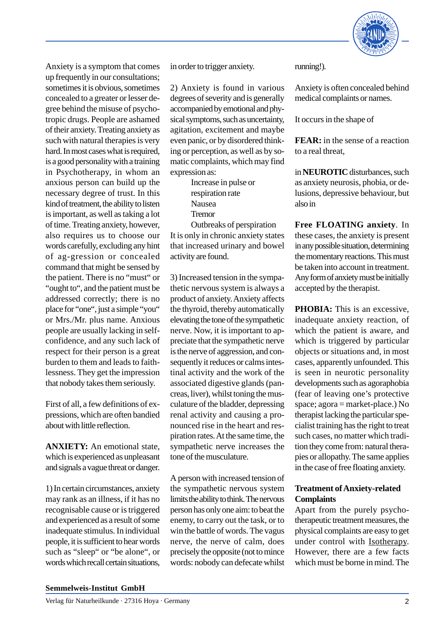

Anxiety is a symptom that comes up frequently in our consultations; sometimes it is obvious, sometimes concealed to a greater or lesser degree behind the misuse of psychotropic drugs. People are ashamed of their anxiety. Treating anxiety as such with natural therapies is very hard. In most cases what is required, is a good personality with a training in Psychotherapy, in whom an anxious person can build up the necessary degree of trust. In this kind of treatment, the ability to listen is important, as well as taking a lot of time. Treating anxiety, however, also requires us to choose our words carefully, excluding any hint of ag-gression or concealed command that might be sensed by the patient. There is no "must" or "ought to", and the patient must be addressed correctly; there is no place for "one", just a simple "you" or Mrs./Mr. plus name. Anxious people are usually lacking in selfconfidence, and any such lack of respect for their person is a great burden to them and leads to faithlessness. They get the impression that nobody takes them seriously.

First of all, a few definitions of expressions, which are often bandied about with little reflection.

**ANXIETY:** An emotional state, which is experienced as unpleasant and signals a vague threat or danger.

1) In certain circumstances, anxiety may rank as an illness, if it has no recognisable cause or is triggered and experienced as a result of some inadequate stimulus. In individual people, it is sufficient to hear words such as "sleep" or "be alone", or words which recall certain situations,

in order to trigger anxiety.

2) Anxiety is found in various degrees of severity and is generally accompanied by emotional and physical symptoms, such as uncertainty, agitation, excitement and maybe even panic, or by disordered thinking or perception, as well as by somatic complaints, which may find expression as:

> Increase in pulse or respiration rate Nausea Tremor

Outbreaks of perspiration It is only in chronic anxiety states that increased urinary and bowel activity are found.

3) Increased tension in the sympathetic nervous system is always a product of anxiety. Anxiety affects the thyroid, thereby automatically elevating the tone of the sympathetic nerve. Now, it is important to appreciate that the sympathetic nerve is the nerve of aggression, and consequently it reduces or calms intestinal activity and the work of the associated digestive glands (pancreas, liver), whilst toning the musculature of the bladder, depressing renal activity and causing a pronounced rise in the heart and respiration rates. At the same time, the sympathetic nerve increases the tone of the musculature.

A person with increased tension of the sympathetic nervous system limits the ability to think. The nervous person has only one aim: to beat the enemy, to carry out the task, or to win the battle of words. The vagus nerve, the nerve of calm, does precisely the opposite (not to mince words: nobody can defecate whilst

running!).

Anxiety is often concealed behind medical complaints or names.

It occurs in the shape of

**FEAR:** in the sense of a reaction to a real threat,

in **NEUROTIC** disturbances, such as anxiety neurosis, phobia, or delusions, depressive behaviour, but also in

**Free FLOATING anxiety**. In these cases, the anxiety is present in any possible situation, determining the momentary reactions. This must be taken into account in treatment. Any form of anxiety must be initially accepted by the therapist.

**PHOBIA:** This is an excessive, inadequate anxiety reaction, of which the patient is aware, and which is triggered by particular objects or situations and, in most cases, apparently unfounded. This is seen in neurotic personality developments such as agoraphobia (fear of leaving one's protective space; agora = market-place.) No therapist lacking the particular specialist training has the right to treat such cases, no matter which tradition they come from: natural therapies or allopathy. The same applies in the case of free floating anxiety.

## **Treatment of Anxiety-related Complaints**

Apart from the purely psychotherapeutic treatment measures, the physical complaints are easy to get under control with Isotherapy. However, there are a few facts which must be borne in mind. The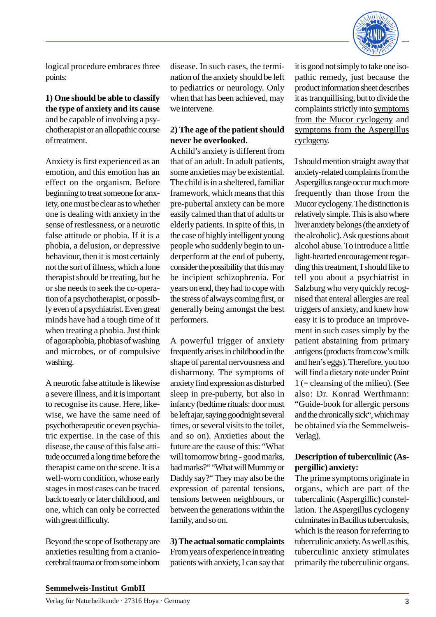

logical procedure embraces three points:

# **1) One should be able to classify the type of anxiety and its cause** and be capable of involving a psychotherapist or an allopathic course of treatment.

Anxiety is first experienced as an emotion, and this emotion has an effect on the organism. Before beginning to treat someone for anxiety, one must be clear as to whether one is dealing with anxiety in the sense of restlessness, or a neurotic false attitude or phobia. If it is a phobia, a delusion, or depressive behaviour, then it is most certainly not the sort of illness, which a lone therapist should be treating, but he or she needs to seek the co-operation of a psychotherapist, or possibly even of a psychiatrist. Even great minds have had a tough time of it when treating a phobia. Just think of agoraphobia, phobias of washing and microbes, or of compulsive washing.

A neurotic false attitude is likewise a severe illness, and it is important to recognise its cause. Here, likewise, we have the same need of psychotherapeutic or even psychiatric expertise. In the case of this disease, the cause of this false attitude occurred a long time before the therapist came on the scene. It is a well-worn condition, whose early stages in most cases can be traced back to early or later childhood, and one, which can only be corrected with great difficulty.

Beyond the scope of Isotherapy are anxieties resulting from a craniocerebral trauma or from some inborn disease. In such cases, the termination of the anxiety should be left to pediatrics or neurology. Only when that has been achieved, may we intervene.

## **2) The age of the patient should never be overlooked.**

A child's anxiety is different from that of an adult. In adult patients, some anxieties may be existential. The child is in a sheltered, familiar framework, which means that this pre-pubertal anxiety can be more easily calmed than that of adults or elderly patients. In spite of this, in the case of highly intelligent young people who suddenly begin to underperform at the end of puberty, consider the possibility that this may be incipient schizophrenia. For years on end, they had to cope with the stress of always coming first, or generally being amongst the best performers.

A powerful trigger of anxiety frequently arises in childhood in the shape of parental nervousness and disharmony. The symptoms of anxiety find expression as disturbed sleep in pre-puberty, but also in infancy (bedtime rituals: door must be left ajar, saying goodnight several times, or several visits to the toilet, and so on). Anxieties about the future are the cause of this: "What will tomorrow bring - good marks, bad marks?" "What will Mummy or Daddy say?" They may also be the expression of parental tensions, tensions between neighbours, or between the generations within the family, and so on.

**3) The actual somatic complaints** From years of experience in treating patients with anxiety, I can say that it is good not simply to take one isopathic remedy, just because the product information sheet describes it as tranquillising, but to divide the complaints strictly into symptoms from the Mucor cyclogeny and symptoms from the Aspergillus cyclogeny.

I should mention straight away that anxiety-related complaints from the Aspergillus range occur much more frequently than those from the Mucor cyclogeny. The distinction is relatively simple. This is also where liver anxiety belongs (the anxiety of the alcoholic). Ask questions about alcohol abuse. To introduce a little light-hearted encouragement regarding this treatment, I should like to tell you about a psychiatrist in Salzburg who very quickly recognised that enteral allergies are real triggers of anxiety, and knew how easy it is to produce an improvement in such cases simply by the patient abstaining from primary antigens (products from cow's milk and hen's eggs). Therefore, you too will find a dietary note under Point 1 (= cleansing of the milieu). (See also: Dr. Konrad Werthmann: "Guide-book for allergic persons and the chronically sick", which may be obtained via the Semmelweis-Verlag).

# **Description of tuberculinic (Aspergillic) anxiety:**

The prime symptoms originate in organs, which are part of the tuberculinic (Aspergillic) constellation. The Aspergillus cyclogeny culminates in Bacillus tuberculosis, which is the reason for referring to tuberculinic anxiety. As well as this, tuberculinic anxiety stimulates primarily the tuberculinic organs.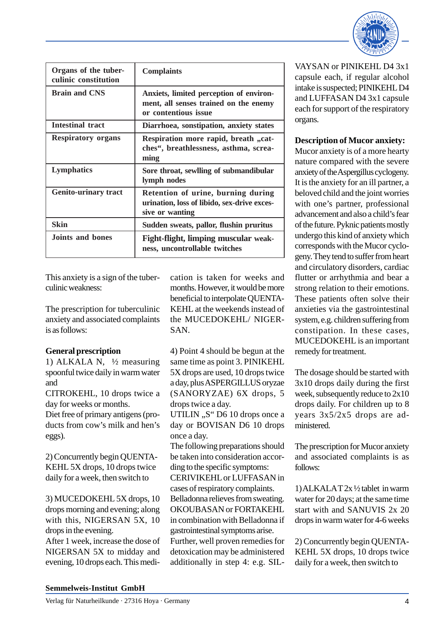

| Organs of the tuber-<br>culinic constitution | <b>Complaints</b>                                                                                        |
|----------------------------------------------|----------------------------------------------------------------------------------------------------------|
| <b>Brain and CNS</b>                         | Anxiets, limited perception of environ-<br>ment, all senses trained on the enemy<br>or contentious issue |
| Intestinal tract                             | Diarrhoea, sonstipation, anxiety states                                                                  |
| <b>Respiratory organs</b>                    | Respiration more rapid, breath "cat-<br>ches", breathlessness, asthma, screa-<br>ming                    |
| Lymphatics                                   | Sore throat, sewlling of submandibular<br>lymph nodes                                                    |
| <b>Genito-urinary tract</b>                  | Retention of urine, burning during<br>urination, loss of libido, sex-drive exces-<br>sive or wanting     |
| <b>Skin</b>                                  | Sudden sweats, pallor, flushin pruritus                                                                  |
| Joints and bones                             | Fight-flight, limping muscular weak-<br>ness, uncontrollable twitches                                    |

This anxiety is a sign of the tuberculinic weakness:

The prescription for tuberculinic anxiety and associated complaints is as follows:

## **General prescription**

1) ALKALA N,  $\frac{1}{2}$  measuring spoonful twice daily in warm water and

CITROKEHL, 10 drops twice a day for weeks or months.

Diet free of primary antigens (products from cow's milk and hen's eggs).

2) Concurrently begin QUENTA-KEHL 5X drops, 10 drops twice daily for a week, then switch to

3) MUCEDOKEHL 5X drops, 10 drops morning and evening; along with this, NIGERSAN 5X, 10 drops in the evening.

After 1 week, increase the dose of NIGERSAN 5X to midday and evening, 10 drops each. This medication is taken for weeks and months. However, it would be more beneficial to interpolate QUENTA-KEHL at the weekends instead of the MUCEDOKEHL/ NIGER-SAN.

4) Point 4 should be begun at the same time as point 3. PINIKEHL 5X drops are used, 10 drops twice a day, plus ASPERGILLUS oryzae (SANORYZAE) 6X drops, 5 drops twice a day.

UTILIN "S" D6 10 drops once a day or BOVISAN D6 10 drops once a day.

The following preparations should be taken into consideration according to the specific symptoms: CERIVIKEHL or LUFFASAN in cases of respiratory complaints. Belladonna relieves from sweating. OKOUBASAN or FORTAKEHL in combination with Belladonna if gastrointestinal symptoms arise. Further, well proven remedies for detoxication may be administered additionally in step 4: e.g. SIL-

VAYSAN or PINIKEHL D4 3x1 capsule each, if regular alcohol intake is suspected; PINIKEHL D4 and LUFFASAN D4 3x1 capsule each for support of the respiratory organs.

## **Description of Mucor anxiety:**

Mucor anxiety is of a more hearty nature compared with the severe anxiety of the Aspergillus cyclogeny. It is the anxiety for an ill partner, a beloved child and the joint worries with one's partner, professional advancement and also a child's fear of the future. Pyknic patients mostly undergo this kind of anxiety which corresponds with the Mucor cyclogeny. They tend to suffer from heart and circulatory disorders, cardiac flutter or arrhythmia and bear a strong relation to their emotions. These patients often solve their anxieties via the gastrointestinal system, e.g. children suffering from constipation. In these cases, MUCEDOKEHL is an important remedy for treatment.

The dosage should be started with 3x10 drops daily during the first week, subsequently reduce to 2x10 drops daily. For children up to 8 years 3x5/2x5 drops are administered.

The prescription for Mucor anxiety and associated complaints is as follows:

1) ALKALA T 2x ½ tablet in warm water for 20 days; at the same time start with and SANUVIS 2x 20 drops in warm water for 4-6 weeks

2) Concurrently begin QUENTA-KEHL 5X drops, 10 drops twice daily for a week, then switch to